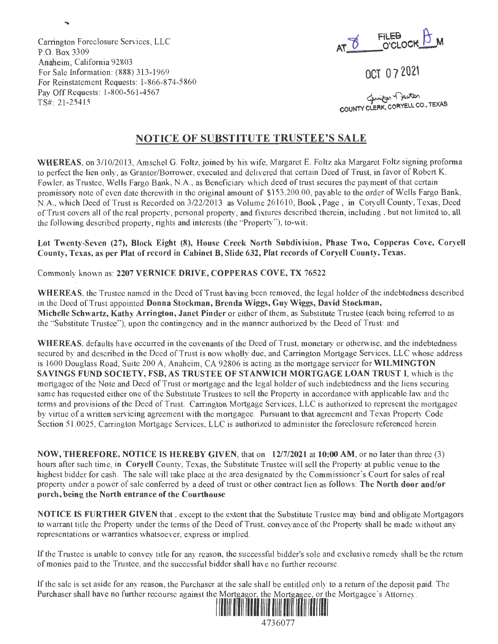**AT~**  O'CLOCK **U** M

OCT O 7 2021

لمنسلك Chunton T<sup>unton</sup><br>COUNTY CLERK, CORYELL CO., TEXAS

## **NOTICE OF SUBSTITUTE TRUSTEE'S SALE**

**WHEREAS,** on 3/10/2013, Amschel G. Foltz, joined by his wife, Margaret E. Foltz aka Margaret Foltz signing proforma to perfect the lien only, as Grantor/Borrower, executed and delivered that certain Deed of Trust, in favor of Robert K. Fowler, as Trustee, Wells Fargo Bank, N.A. , as Beneficiary which deed of trust secures the payment of that certain promissory note of even date therewith in the original amount of \$153,200.00, payable to the order of Wells Fargo Bank, N.A., which Deed of Trust is Recorded on 3/22/2013 as Volume 261610, Book, Page , in Coryell County, Texas, Deed of Trust covers all of the real property, personal property, and fixtures described therein, including , but not limited to, all the following described property, rights and interests (the "Property"), to-wit;

**Lot Twenty-Seven (27), Block Eight (8), House Creek North Subdivision, Phase Two, Copperas Cove, Coryell County, Texas, as per Plat of record in Cabinet B, Slide 632, Plat records of Coryell County, Texas.** 

Commonly known as: **2207 VERNICE DRIVE, COPPERAS COVE, TX 76522** 

Carrington Foreclosure Services, LLC

For Sale Information: (888) 313-1969

Pay Off Requests: 1-800-561-4567

For Reinstatement Requests: 1-866-874-5 860

Anaheim, California 92803

P.O. Box 3309

TS#: 21-25415

**WHEREAS,** the Trustee named in the Deed of Trust having been removed, the legal holder of the indebtedness described in the Deed of Trust appointed **Donna Stockman, Brenda Wiggs, Guy Wiggs, David Stockman, Michelle Schwartz, Kathy Arrington, Janet Pinder** or either of them, as Substitute Trustee (each being referred to as the "Substitute Trustee"), upon the contingency and in the manner authorized by the Deed of Trust: and

**WHEREAS,** defaults have occurred in the covenants of the Deed of Trust, monetary or otherwise, and the indebtedness secured by and described in the Deed of Trust is now wholly due, and Carrington Mortgage Services, LLC whose address is 1600 Douglass Road, Suite 200 A, Anaheim, CA 92806 is acting as the mortgage servicer for **WILMINGTON SAVINGS FUND SOCIETY, FSB, AS TRUSTEE OF STANWICH MORTGAGE LOAN TRUST** I, which is the mortgagee of the Note and Deed of Trust or mortgage and the legal holder of such indebtedness and the liens securing same has requested either one of the Substitute Trustees to sell the Property in accordance with applicable law and the terms and provisions of the Deed of Trust. Carrington Mortgage Services, LLC is authorized to represent the mortgagee by virtue of a written servicing agreement with the mortgagee. Pursuant to that agreement and Texas Property Code Section 51.0025, Carrington Mortgage Services, LLC is authorized to administer the foreclosure referenced herein.

**NOW, THEREFORE, NOTICE IS HEREBY GIVEN,** that on **12/7/2021** at **10:00 AM,** or no later than three (3) hours after such time, in **Coryell** County, Texas, the Substitute Trustee will sell the Property at public venue to the highest bidder for cash. The sale will take place at the area designated by the Commissioner's Court for sales of real property under a power of sale conferred by a deed of trust or other contract lien as follows: **The North door and/or**  porch, being the North entrance of the Courthouse

**NOTICE IS FURTHER GIVEN** that , except to the extent that the Substitute Trustee may bind and obligate Mortgagors to warrant title the Property under the terms of the Deed of Trust, conveyance of the Property shall be made without any representations or warranties whatsoever, express or implied.

If the Trustee is unable to convey title for any reason, the successful bidder's sole and exclusive remedy shall be the return of monies paid to the Trustee, and the successful bidder shall have no further recourse.

If the sale is set aside for any reason, the Purchaser at the sale shall be entitled only to a return of the deposit paid. The Purchaser shall have no further recourse against the Mortgagor, the Mortgagee, or the Mortgagee's Attorney.



4736077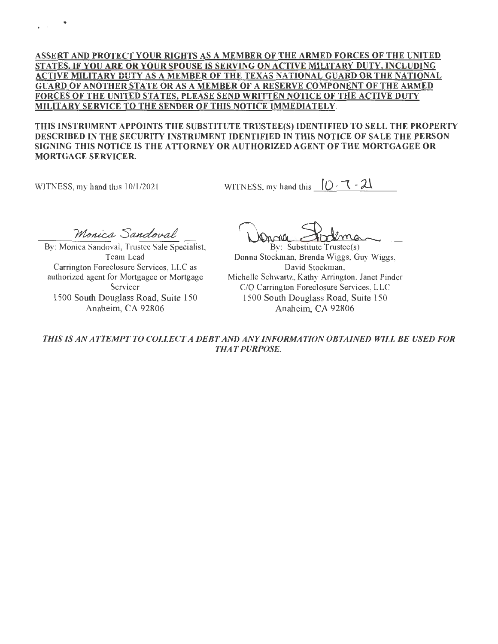### **ASSERT AND PROTECT YOUR RIGHTS AS A MEMBER OF THE ARMED FORCES OF THE UNITED STATES. IF YOU ARE OR YOUR SPOUSE IS SERVING ON ACTIVE MILITARY DUTY, INCLUDING ACTIVE MILITARY DUTY AS A MEMBER OF THE TEXAS NATIONAL GUARD OR THE NATIONAL GUARD OF ANOTHER STATE OR AS A MEMBER OF A RESERVE COMPONENT OF THE ARMED FORCES OF THE UNITED STATES, PLEASE SEND WRITTEN NOTICE OF THE ACTIVE DUTY MILITARY SERVICE TO THE SENDER OF THIS NOTICE IMMEDIATELY.**

**THIS INSTRUMENT APPOINTS THE SUBSTITUTE TRUSTEE(S) IDENTIFIED TO SELL THE PROPERTY DESCRIBED IN THE SECURITY INSTRUMENT IDENTIFIED IN THIS NOTICE OF SALE THE PERSON**  SIGNING THIS NOTICE IS THE ATTORNEY OR AUTHORIZED AGENT OF THE MORTGAGEE OR **MORTGAGE SERVICER.** 

WITNESS, my hand this 10/1/2021

 $\epsilon$  is a set of  $\mathcal{P}$ 

WITNESS, my hand this  $[0 - 1 - 2]$ 

Monica Sandoval

By: Monica Sandoval, Trustee Sale Specialist, Team Lead Carrington Foreclosure Services, LLC as authorized agent for Mortgagee or Mortgage Servicer 1500 South Douglass Road, Suite 150 Anaheim, CA 92806

By: Substitute Trustee(s) Donna Stockman, Brenda Wiggs, Guy Wiggs, David Stockman, Michelle Schwartz, Kathy Arrington, Janet Pinder C/O Carrington Foreclosure Services, LLC 1500 South Douglass Road, Suite 150 Anaheim, CA 92806

*THIS IS AN ATTEMPT TO COLLECT A DEBT AND ANY INFORMATION OBTAINED WILL BE USED FOR THAT PURPOSE.*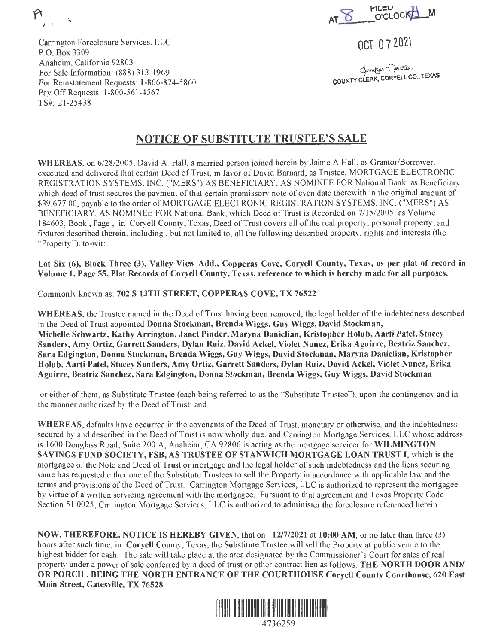Carrington Foreclosure Services, LLC P.O. Box 3309 Anaheim, California 92803 For Sale Information: (888) 313-1969 For Reinstatement Requests: 1-866-874-5860 Pay Off Requests: 1-800-561-4567 TS#: 21 -25438

**AT 'D**   $MLEU$  ,  $M$  **I O** CLOCK **T** 

OCT O 7 2021

gunitor of Jevitor<br>COUNTY CLERK, CORYELL CO., TEXAS

## **NOTICE OF SUBSTITUTE TRUSTEE'S SALE**

**WHEREAS,** on 6/28/2005, David A. Hall, a married person joined herein by Jaime A Hall, as Grantor/Borrower, executed and delivered that certain Deed of Trust, in favor of David Barnard, as Trustee, MORTGAGE ELECTRONIC REGISTRATION SYSTEMS, INC. ("MERS") AS BENEFICIARY, AS NOMINEE FOR National Bank, as Beneficiary which deed of trust secures the payment of that certain promissory note of even date therewith in the original amount of \$39,677.00, payable to the order of MORTGAGE ELECTRONIC REGISTRATION SYSTEMS, INC. ("MERS") AS BENEFICIARY, AS NOMINEE FOR National Bank, which Deed of Trust is Recorded on 7/15/2005 as Volume 184603, Book, Page, in Coryell County, Texas, Deed of Trust covers all of the real property, personal property, and fixtures described therein, including , but not limited to, all the following described property, rights and interests (the "Property"), to-wit;

**Lot Six (6), Block Three (3), Valley View Add., Copperas Cove, Coryell County, Texas, as per plat of record in Volume 1, Page 55, Plat Records of Coryell County, Texas, reference to which is hereby made for all purposes.** 

Commonly known as: **702 S 13TH STREET, COPPERAS COVE, TX 76522** 

**WHEREAS,** the Trustee named in the Deed of Trust having been removed, the legal holder of the indebtedness described in the Deed of Trust appointed **Donna Stockman, Brenda Wiggs, Guy Wiggs, David Stockman, Michelle Schwartz, Kathy Arrington, Janet Pinder, Maryna Danielian, Kristopher Holub, Aarti Patel, Stacey Sanders, Amy Ortiz, Garrett Sanders, Dylan Ruiz, David Ackel, Violet Nunez, Erika Aguirre, Beatriz Sanchez, Sara Edgington, Donna Stockman, Brenda Wiggs, Guy Wiggs, David Stockman, Maryna Danielian, Kristopher Holub, Aarti Patel, Stacey Sanders, Amy Ortiz, Garrett Sanders, Dylan Ruiz, David Ackel, Violet Nunez, Erika Aguirre, Beatriz Sanchez, Sara Edgington, Donna Stockman, Brenda Wiggs, Guy Wiggs, David Stockman** 

or either of them, as Substitute Trustee (each being referred to as the "Substitute Trustee"), upon the contingency and in the manner authorized by the Deed of Trust: and

**WHEREAS,** defaults have occurred in the covenants of the Deed of Trust, monetary or otherwise, and the indebtedness secured by and described in the Deed of Trust is now wholly due, and Carrington Mortgage Services, LLC whose address is 1600 Douglass Road, Suite 200 A, Anaheim, CA 92806 is acting as the mortgage servicer for **WILMINGTON SAVINGS FUND SOCIETY, FSB, AS TRUSTEE OF STANWICH MORTGAGE LOAN TRUST** I, which is the mortgagee of the Note and Deed of Trust or mortgage and the legal holder of such indebtedness and the liens securing same has requested either one of the Substitute Trustees to sell the Property in accordance with applicable law and the terms and provisions of the Deed of Trust. Carrington Mortgage Services, LLC is authorized to represent the mortgagee by virtue of a written servicing agreement with the mortgagee. Pursuant to that agreement and Texas Property Code Section 51. 0025, Carrington Mortgage Services, LLC is authorized to administer the foreclosure referenced herein.

**NOW, THEREFORE, NOTICE IS HEREBY GIVEN,** that on **12/7/2021** at **10:00 AM,** or no later than three (3) hours after such time, in **Coryell** County, Texas, the Substitute Trustee will sell the Property at public venue to the highest bidder for cash. The sale will take place at the area designated by the Commissioner's Court for sales of real property under a power of sale conferred by a deed of trust or other contract lien as follows: **THE NORTH DOOR AND/ OR PORCH** , **BEING THE NORTH ENTRANCE OF THE COURTHOUSE Coryell County Courthouse, 620 East Main Street, Gatesville, TX 76528** 

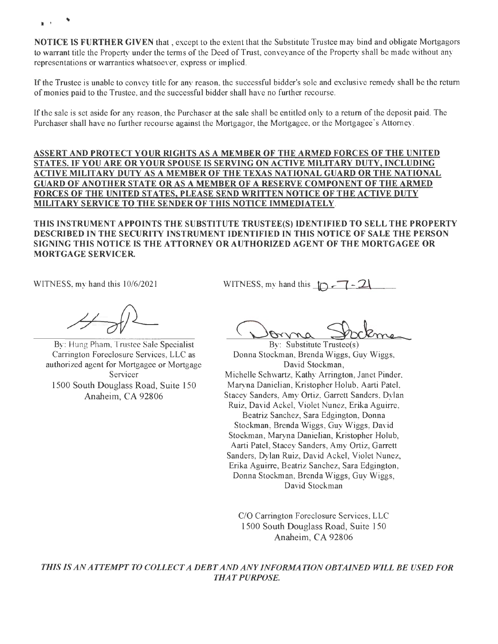**}i** <sup>J</sup>

**NOTICE IS FURTHER GIVEN** that , except to the extent that the Substitute Trustee may bind and obligate Mortgagors to warrant title the Property under the terms of the Deed of Trust, conveyance of the Property shall be made without any representations or warranties whatsoever, express or implied.

If the Trustee is unable to convey title for any reason, the successful bidder's sole and exclusive remedy shall be the return of monies paid to the Trustee, and the successful bidder shall have no further recourse.

If the sale is set aside for any reason, the Purchaser at the sale shall be entitled only to a return of the deposit paid. The Purchaser shall have no further recourse against the Mortgagor, the Mortgagee, or the Mortgagee's Attorney.

### **ASSERT AND PROTECT YOUR RIGHTS AS A MEMBER OF THE ARMED FORCES OF THE UNITED STATES. IF YOU ARE OR YOUR SPOUSE IS SERVING ON ACTIVE MILITARY DUTY, INCLUDING ACTIVE MILITARY DUTY AS A MEMBER OF THE TEXAS NATIONAL GUARD OR THE NATIONAL GUARD OF ANOTHER STATE OR AS A MEMBER OF A RESERVE COMPONENT OF THE ARMED FORCES OF THE UNITED STATES, PLEASE SEND WRITTEN NOTICE OF THE ACTIVE DUTY MILITARY SERVICE TO THE SENDER OF THIS NOTICE IMMEDIATELY.**

**THIS INSTRUMENT APPOINTS THE SUBSTITUTE TRUSTEE(S) IDENTIFIED TO SELL THE PROPERTY DESCRIBED IN THE SECURITY INSTRUMENT IDENTIFIED IN THIS NOTICE OF SALE THE PERSON SIGNING THIS NOTICE IS THE ATTORNEY OR AUTHORIZED AGENT OF THE MORTGAGEE OR MORTGAGE SERVICER.** 

WITNESS, my hand this 10/6/2021

WITNESS, my hand this  $\Box$ 

By: Hung Pham, Trustee Sale Specialist Carrington Foreclosure Services, LLC as authorized agent for Mortgagee or Mortgage **Servicer** 1500 South Douglass Road, Suite 150 Anaheim, CA 92806

<u>Donna</u> Sudeme

Donna Stockman, Brenda Wiggs, Guy Wiggs, David Stockman, Michelle Schwartz, Kathy Arrington, Janet Pinder, Maryna Danielian, Kristopher Holub, Aarti Patel, Stacey Sanders, Amy Ortiz, Garrett Sanders, Dylan Ruiz, David Ackel, Violet Nunez, Erika Aguirre, Beatriz Sanchez, Sara Edgington, Donna Stockman, Brenda Wiggs, Guy Wiggs, David Stockman, Maryna Danielian, Kristopher Holub, Aarti Patel, Stacey Sanders, Amy Ortiz, Garrett Sanders, Dylan Ruiz, David Ackel, Violet Nunez, Erika Aguirre, Beatriz Sanchez, Sara Edgington, Donna Stockman, Brenda Wiggs, Guy Wiggs, David Stockman

C/O Carrington Foreclosure Services, LLC 1500 South Douglass Road, Suite 150 Anaheim, CA 92806

*THIS IS AN ATTEMPT TO COLLECT A DEBT AND ANY INFORMATION OBT A/NED WILL BE USED FOR THAT PURPOSE.*